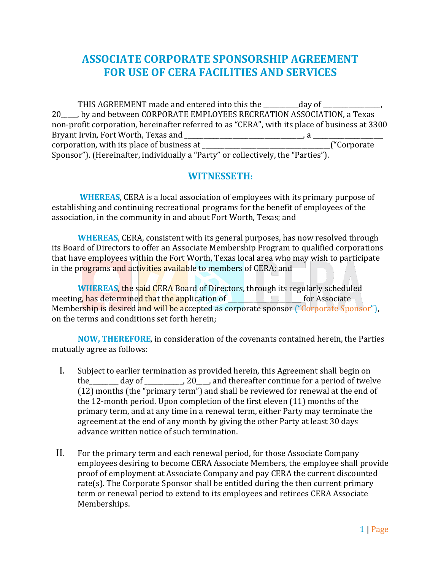## **ASSOCIATE CORPORATE SPONSORSHIP AGREEMENT FOR USE OF CERA FACILITIES AND SERVICES**

THIS AGREEMENT made and entered into this the day of 20\_\_\_\_\_, by and between CORPORATE EMPLOYEES RECREATION ASSOCIATION, a Texas non-profit corporation, hereinafter referred to as "CERA", with its place of business at 3300 Bryant Irvin, Fort Worth, Texas and \_\_\_\_\_\_\_\_\_\_\_\_\_\_\_\_\_\_\_\_\_\_\_\_\_\_\_\_\_\_\_\_\_\_\_\_\_, a \_\_\_\_\_\_\_\_\_\_\_\_\_\_\_\_\_\_\_\_\_\_ corporation, with its place of business at  $\frac{1}{2}$ Sponsor"). (Hereinafter, individually a "Party" or collectively, the "Parties").

## **WITNESSETH:**

**WHEREAS**, CERA is a local association of employees with its primary purpose of establishing and continuing recreational programs for the benefit of employees of the association, in the community in and about Fort Worth, Texas; and

**WHEREAS**, CERA, consistent with its general purposes, has now resolved through its Board of Directors to offer an Associate Membership Program to qualified corporations that have employees within the Fort Worth, Texas local area who may wish to participate in the programs and activities available to members of CERA; and

**WHEREAS**, the said CERA Board of Directors, through its regularly scheduled meeting, has determined that the application of **with the example of the set of the set of the set of the set of the set of the set of the set of the set of the set of the set of the set of the set of the set of the set of** Membership is desired and will be accepted as corporate sponsor ("Corporate Sponsor"), on the terms and conditions set forth herein;

**NOW, THEREFORE**, in consideration of the covenants contained herein, the Parties mutually agree as follows:

- I. Subject to earlier termination as provided herein, this Agreement shall begin on the day of  $\qquad \qquad$  , 20  $\qquad$ , and thereafter continue for a period of twelve (12) months (the "primary term") and shall be reviewed for renewal at the end of the 12-month period. Upon completion of the first eleven (11) months of the primary term, and at any time in a renewal term, either Party may terminate the agreement at the end of any month by giving the other Party at least 30 days advance written notice of such termination.
- II. For the primary term and each renewal period, for those Associate Company employees desiring to become CERA Associate Members, the employee shall provide proof of employment at Associate Company and pay CERA the current discounted rate(s). The Corporate Sponsor shall be entitled during the then current primary term or renewal period to extend to its employees and retirees CERA Associate Memberships.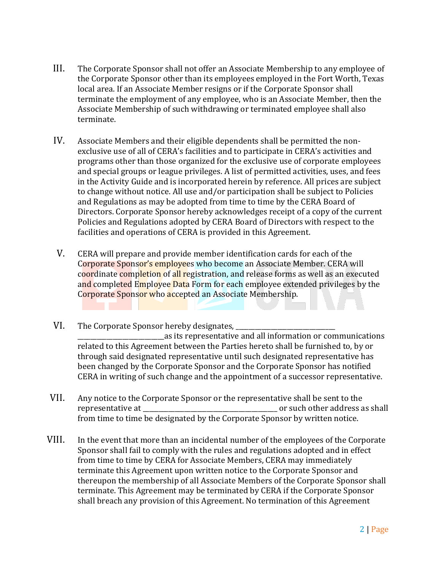- III. The Corporate Sponsor shall not offer an Associate Membership to any employee of the Corporate Sponsor other than its employees employed in the Fort Worth, Texas local area. If an Associate Member resigns or if the Corporate Sponsor shall terminate the employment of any employee, who is an Associate Member, then the Associate Membership of such withdrawing or terminated employee shall also terminate.
- IV. Associate Members and their eligible dependents shall be permitted the nonexclusive use of all of CERA's facilities and to participate in CERA's activities and programs other than those organized for the exclusive use of corporate employees and special groups or league privileges. A list of permitted activities, uses, and fees in the Activity Guide and is incorporated herein by reference. All prices are subject to change without notice. All use and/or participation shall be subject to Policies and Regulations as may be adopted from time to time by the CERA Board of Directors. Corporate Sponsor hereby acknowledges receipt of a copy of the current Policies and Regulations adopted by CERA Board of Directors with respect to the facilities and operations of CERA is provided in this Agreement.
- V. CERA will prepare and provide member identification cards for each of the Corporate Sponsor's employees who become an Associate Member. CERA will coordinate completion of all registration, and release forms as well as an executed and completed Employee Data Form for each employee extended privileges by the Corporate Sponsor who accepted an Associate Membership.
- VI. The Corporate Sponsor hereby designates, as its representative and all information or communications related to this Agreement between the Parties hereto shall be furnished to, by or through said designated representative until such designated representative has been changed by the Corporate Sponsor and the Corporate Sponsor has notified CERA in writing of such change and the appointment of a successor representative.
- VII. Any notice to the Corporate Sponsor or the representative shall be sent to the representative at  $\Box$  is the contract of the solution of such other address as shall from time to time be designated by the Corporate Sponsor by written notice.
- VIII. In the event that more than an incidental number of the employees of the Corporate Sponsor shall fail to comply with the rules and regulations adopted and in effect from time to time by CERA for Associate Members, CERA may immediately terminate this Agreement upon written notice to the Corporate Sponsor and thereupon the membership of all Associate Members of the Corporate Sponsor shall terminate. This Agreement may be terminated by CERA if the Corporate Sponsor shall breach any provision of this Agreement. No termination of this Agreement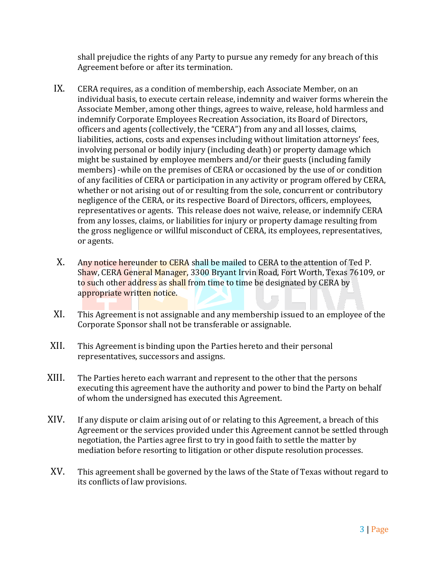shall prejudice the rights of any Party to pursue any remedy for any breach of this Agreement before or after its termination.

- IX. CERA requires, as a condition of membership, each Associate Member, on an individual basis, to execute certain release, indemnity and waiver forms wherein the Associate Member, among other things, agrees to waive, release, hold harmless and indemnify Corporate Employees Recreation Association, its Board of Directors, officers and agents (collectively, the "CERA") from any and all losses, claims, liabilities, actions, costs and expenses including without limitation attorneys' fees, involving personal or bodily injury (including death) or property damage which might be sustained by employee members and/or their guests (including family members) -while on the premises of CERA or occasioned by the use of or condition of any facilities of CERA or participation in any activity or program offered by CERA, whether or not arising out of or resulting from the sole, concurrent or contributory negligence of the CERA, or its respective Board of Directors, officers, employees, representatives or agents. This release does not waive, release, or indemnify CERA from any losses, claims, or liabilities for injury or property damage resulting from the gross negligence or willful misconduct of CERA, its employees, representatives, or agents.
- X. Any notice hereunder to CERA shall be mailed to CERA to the attention of Ted P. Shaw, CERA General Manager, 3300 Bryant Irvin Road, Fort Worth, Texas 76109, or to such other address as shall from time to time be designated by CERA by appropriate written notice.
- XI. This Agreement is not assignable and any membership issued to an employee of the Corporate Sponsor shall not be transferable or assignable.
- XII. This Agreement is binding upon the Parties hereto and their personal representatives, successors and assigns.
- XIII. The Parties hereto each warrant and represent to the other that the persons executing this agreement have the authority and power to bind the Party on behalf of whom the undersigned has executed this Agreement.
- XIV. If any dispute or claim arising out of or relating to this Agreement, a breach of this Agreement or the services provided under this Agreement cannot be settled through negotiation, the Parties agree first to try in good faith to settle the matter by mediation before resorting to litigation or other dispute resolution processes.
- XV. This agreement shall be governed by the laws of the State of Texas without regard to its conflicts of law provisions.